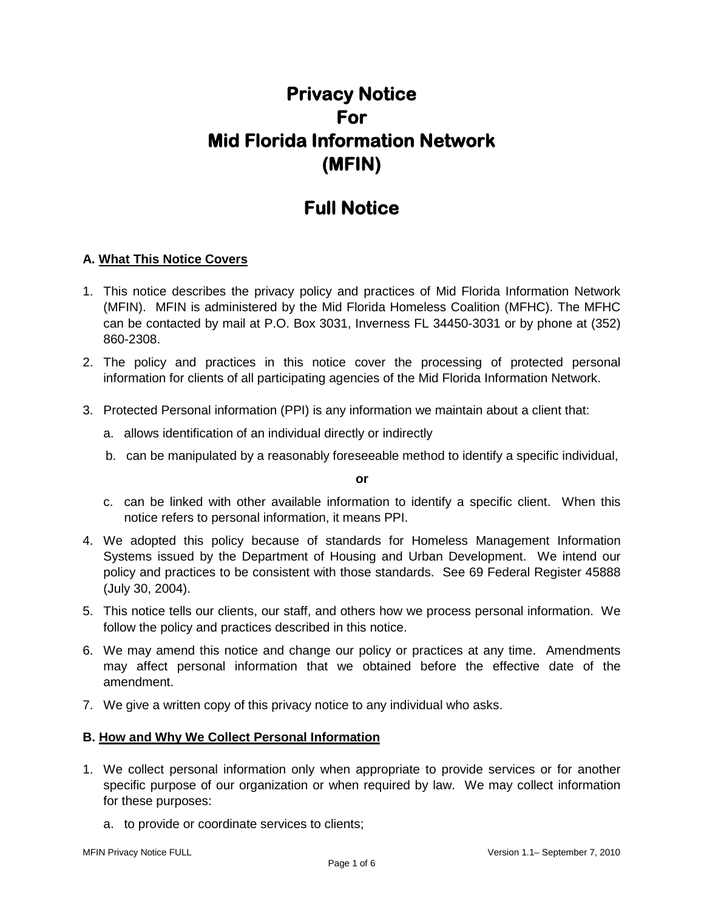# **Privacy Notice For Mid Florida Information Network (MFIN)**

## **Full Notice**

## **A. What This Notice Covers**

- 1. This notice describes the privacy policy and practices of Mid Florida Information Network (MFIN). MFIN is administered by the Mid Florida Homeless Coalition (MFHC). The MFHC can be contacted by mail at P.O. Box 3031, Inverness FL 34450-3031 or by phone at (352) 860-2308.
- 2. The policy and practices in this notice cover the processing of protected personal information for clients of all participating agencies of the Mid Florida Information Network.
- 3. Protected Personal information (PPI) is any information we maintain about a client that:
	- a. allows identification of an individual directly or indirectly
	- b. can be manipulated by a reasonably foreseeable method to identify a specific individual,

**or**

- c. can be linked with other available information to identify a specific client. When this notice refers to personal information, it means PPI.
- 4. We adopted this policy because of standards for Homeless Management Information Systems issued by the Department of Housing and Urban Development. We intend our policy and practices to be consistent with those standards. See 69 Federal Register 45888 (July 30, 2004).
- 5. This notice tells our clients, our staff, and others how we process personal information. We follow the policy and practices described in this notice.
- 6. We may amend this notice and change our policy or practices at any time. Amendments may affect personal information that we obtained before the effective date of the amendment.
- 7. We give a written copy of this privacy notice to any individual who asks.

## **B. How and Why We Collect Personal Information**

- 1. We collect personal information only when appropriate to provide services or for another specific purpose of our organization or when required by law. We may collect information for these purposes:
	- a. to provide or coordinate services to clients;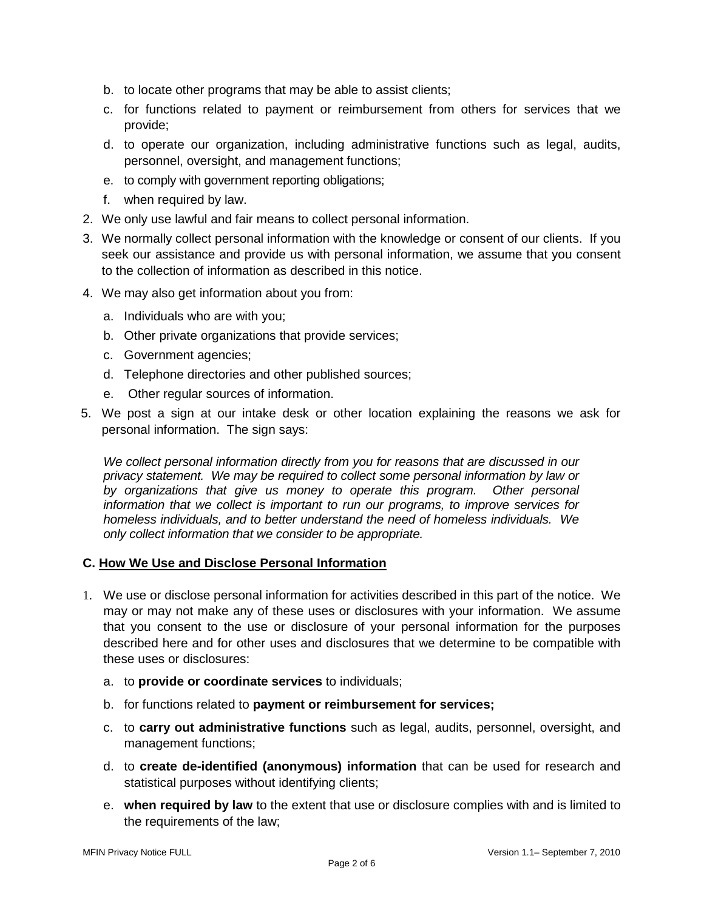- b. to locate other programs that may be able to assist clients;
- c. for functions related to payment or reimbursement from others for services that we provide;
- d. to operate our organization, including administrative functions such as legal, audits, personnel, oversight, and management functions;
- e. to comply with government reporting obligations;
- f. when required by law.
- 2. We only use lawful and fair means to collect personal information.
- 3. We normally collect personal information with the knowledge or consent of our clients. If you seek our assistance and provide us with personal information, we assume that you consent to the collection of information as described in this notice.
- 4. We may also get information about you from:
	- a. Individuals who are with you;
	- b. Other private organizations that provide services;
	- c. Government agencies;
	- d. Telephone directories and other published sources;
	- e. Other regular sources of information.
- 5. We post a sign at our intake desk or other location explaining the reasons we ask for personal information. The sign says:

*We collect personal information directly from you for reasons that are discussed in our privacy statement. We may be required to collect some personal information by law or by organizations that give us money to operate this program. Other personal information that we collect is important to run our programs, to improve services for homeless individuals, and to better understand the need of homeless individuals. We only collect information that we consider to be appropriate.*

## **C. How We Use and Disclose Personal Information**

- 1. We use or disclose personal information for activities described in this part of the notice. We may or may not make any of these uses or disclosures with your information. We assume that you consent to the use or disclosure of your personal information for the purposes described here and for other uses and disclosures that we determine to be compatible with these uses or disclosures:
	- a. to **provide or coordinate services** to individuals;
	- b. for functions related to **payment or reimbursement for services;**
	- c. to **carry out administrative functions** such as legal, audits, personnel, oversight, and management functions;
	- d. to **create de-identified (anonymous) information** that can be used for research and statistical purposes without identifying clients;
	- e. **when required by law** to the extent that use or disclosure complies with and is limited to the requirements of the law;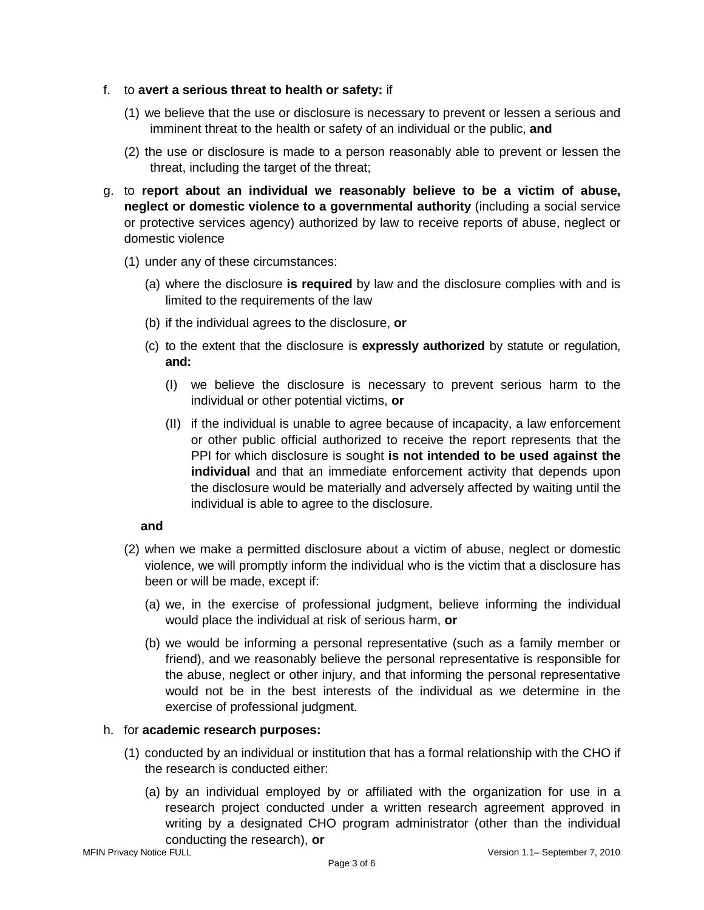- f. to **avert a serious threat to health or safety:** if
	- (1) we believe that the use or disclosure is necessary to prevent or lessen a serious and imminent threat to the health or safety of an individual or the public, **and**
	- (2) the use or disclosure is made to a person reasonably able to prevent or lessen the threat, including the target of the threat;
- g. to **report about an individual we reasonably believe to be a victim of abuse, neglect or domestic violence to a governmental authority** (including a social service or protective services agency) authorized by law to receive reports of abuse, neglect or domestic violence
	- (1) under any of these circumstances:
		- (a) where the disclosure **is required** by law and the disclosure complies with and is limited to the requirements of the law
		- (b) if the individual agrees to the disclosure, **or**
		- (c) to the extent that the disclosure is **expressly authorized** by statute or regulation, **and:** 
			- (I) we believe the disclosure is necessary to prevent serious harm to the individual or other potential victims, **or**
			- (II) if the individual is unable to agree because of incapacity, a law enforcement or other public official authorized to receive the report represents that the PPI for which disclosure is sought **is not intended to be used against the individual** and that an immediate enforcement activity that depends upon the disclosure would be materially and adversely affected by waiting until the individual is able to agree to the disclosure.

## **and**

- (2) when we make a permitted disclosure about a victim of abuse, neglect or domestic violence, we will promptly inform the individual who is the victim that a disclosure has been or will be made, except if:
	- (a) we, in the exercise of professional judgment, believe informing the individual would place the individual at risk of serious harm, **or**
	- (b) we would be informing a personal representative (such as a family member or friend), and we reasonably believe the personal representative is responsible for the abuse, neglect or other injury, and that informing the personal representative would not be in the best interests of the individual as we determine in the exercise of professional judgment.

## h. for **academic research purposes:**

- (1) conducted by an individual or institution that has a formal relationship with the CHO if the research is conducted either:
	- (a) by an individual employed by or affiliated with the organization for use in a research project conducted under a written research agreement approved in writing by a designated CHO program administrator (other than the individual conducting the research), **or**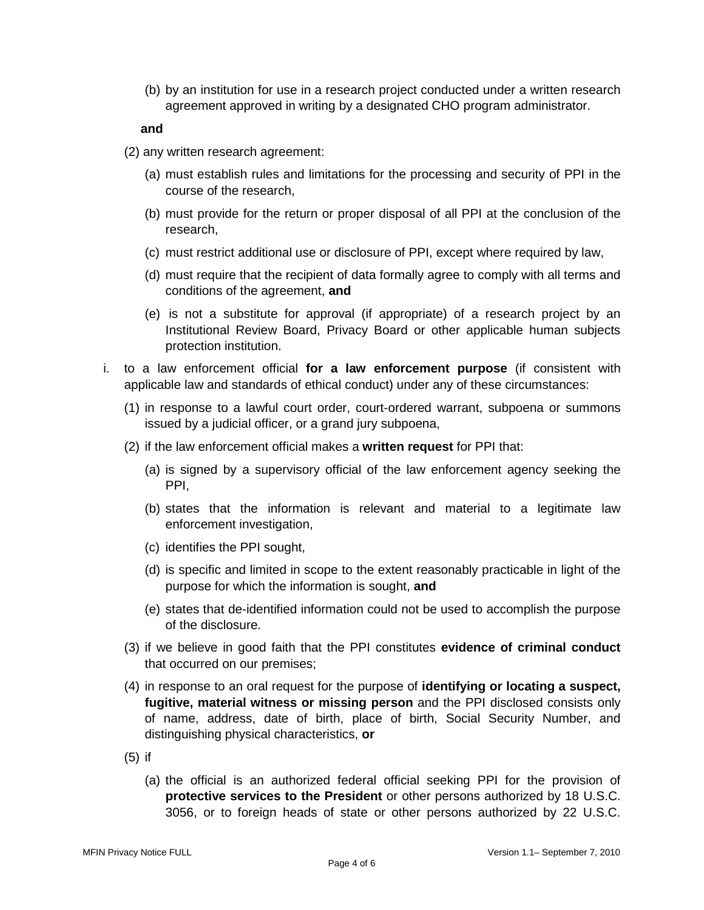(b) by an institution for use in a research project conducted under a written research agreement approved in writing by a designated CHO program administrator.

#### **and**

- (2) any written research agreement:
	- (a) must establish rules and limitations for the processing and security of PPI in the course of the research,
	- (b) must provide for the return or proper disposal of all PPI at the conclusion of the research,
	- (c) must restrict additional use or disclosure of PPI, except where required by law,
	- (d) must require that the recipient of data formally agree to comply with all terms and conditions of the agreement, **and**
	- (e) is not a substitute for approval (if appropriate) of a research project by an Institutional Review Board, Privacy Board or other applicable human subjects protection institution.
- i. to a law enforcement official **for a law enforcement purpose** (if consistent with applicable law and standards of ethical conduct) under any of these circumstances:
	- (1) in response to a lawful court order, court-ordered warrant, subpoena or summons issued by a judicial officer, or a grand jury subpoena,
	- (2) if the law enforcement official makes a **written request** for PPI that:
		- (a) is signed by a supervisory official of the law enforcement agency seeking the PPI,
		- (b) states that the information is relevant and material to a legitimate law enforcement investigation,
		- (c) identifies the PPI sought,
		- (d) is specific and limited in scope to the extent reasonably practicable in light of the purpose for which the information is sought, **and**
		- (e) states that de-identified information could not be used to accomplish the purpose of the disclosure.
	- (3) if we believe in good faith that the PPI constitutes **evidence of criminal conduct** that occurred on our premises;
	- (4) in response to an oral request for the purpose of **identifying or locating a suspect, fugitive, material witness or missing person** and the PPI disclosed consists only of name, address, date of birth, place of birth, Social Security Number, and distinguishing physical characteristics, **or**
	- (5) if
		- (a) the official is an authorized federal official seeking PPI for the provision of **protective services to the President** or other persons authorized by 18 U.S.C. 3056, or to foreign heads of state or other persons authorized by 22 U.S.C.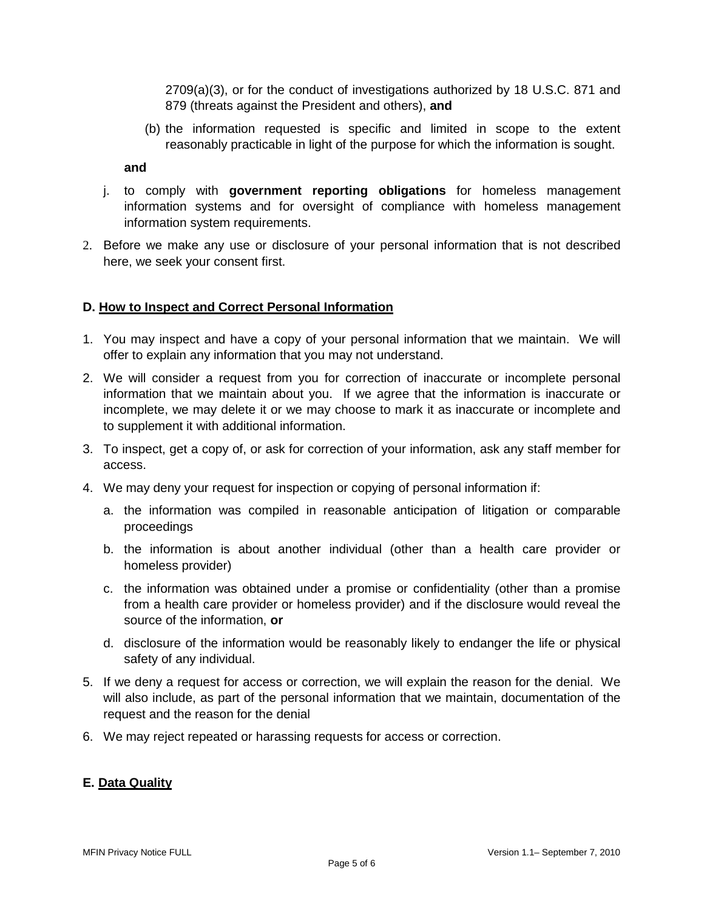2709(a)(3), or for the conduct of investigations authorized by 18 U.S.C. 871 and 879 (threats against the President and others), **and** 

(b) the information requested is specific and limited in scope to the extent reasonably practicable in light of the purpose for which the information is sought.

#### **and**

- j. to comply with **government reporting obligations** for homeless management information systems and for oversight of compliance with homeless management information system requirements.
- 2. Before we make any use or disclosure of your personal information that is not described here, we seek your consent first.

### **D. How to Inspect and Correct Personal Information**

- 1. You may inspect and have a copy of your personal information that we maintain. We will offer to explain any information that you may not understand.
- 2. We will consider a request from you for correction of inaccurate or incomplete personal information that we maintain about you. If we agree that the information is inaccurate or incomplete, we may delete it or we may choose to mark it as inaccurate or incomplete and to supplement it with additional information.
- 3. To inspect, get a copy of, or ask for correction of your information, ask any staff member for access.
- 4. We may deny your request for inspection or copying of personal information if:
	- a. the information was compiled in reasonable anticipation of litigation or comparable proceedings
	- b. the information is about another individual (other than a health care provider or homeless provider)
	- c. the information was obtained under a promise or confidentiality (other than a promise from a health care provider or homeless provider) and if the disclosure would reveal the source of the information, **or**
	- d. disclosure of the information would be reasonably likely to endanger the life or physical safety of any individual.
- 5. If we deny a request for access or correction, we will explain the reason for the denial. We will also include, as part of the personal information that we maintain, documentation of the request and the reason for the denial
- 6. We may reject repeated or harassing requests for access or correction.

## **E. Data Quality**